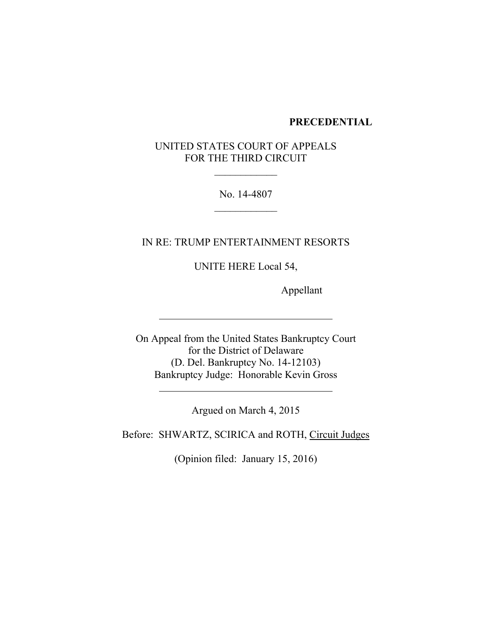#### **PRECEDENTIAL**

# UNITED STATES COURT OF APPEALS FOR THE THIRD CIRCUIT

No. 14-4807

IN RE: TRUMP ENTERTAINMENT RESORTS

UNITE HERE Local 54,

Appellant

On Appeal from the United States Bankruptcy Court for the District of Delaware (D. Del. Bankruptcy No. 14-12103) Bankruptcy Judge: Honorable Kevin Gross

Argued on March 4, 2015

Before: SHWARTZ, SCIRICA and ROTH, Circuit Judges

(Opinion filed: January 15, 2016)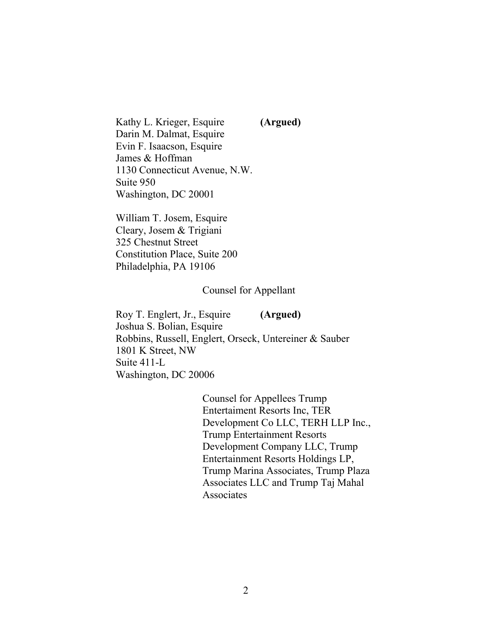Kathy L. Krieger, Esquire **(Argued)** Darin M. Dalmat, Esquire Evin F. Isaacson, Esquire James & Hoffman 1130 Connecticut Avenue, N.W. Suite 950 Washington, DC 20001

William T. Josem, Esquire Cleary, Josem & Trigiani 325 Chestnut Street Constitution Place, Suite 200 Philadelphia, PA 19106

#### Counsel for Appellant

Roy T. Englert, Jr., Esquire **(Argued)** Joshua S. Bolian, Esquire Robbins, Russell, Englert, Orseck, Untereiner & Sauber 1801 K Street, NW Suite 411-L Washington, DC 20006

> Counsel for Appellees Trump Entertaiment Resorts Inc, TER Development Co LLC, TERH LLP Inc., Trump Entertainment Resorts Development Company LLC, Trump Entertainment Resorts Holdings LP, Trump Marina Associates, Trump Plaza Associates LLC and Trump Taj Mahal Associates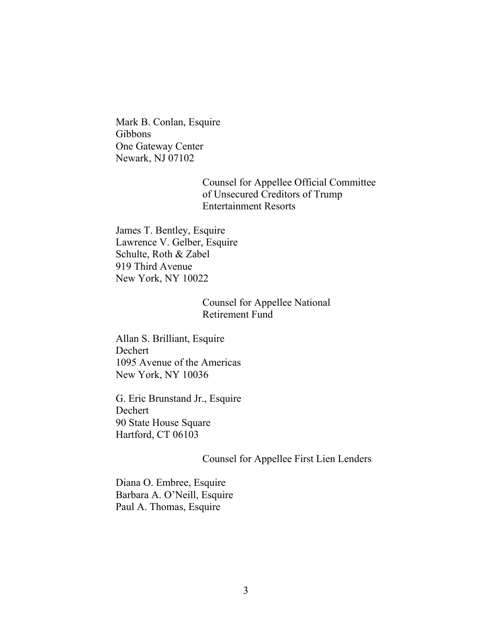Mark B. Conlan, Esquire Gibbons One Gateway Center Newark, NJ 07102

> Counsel for Appellee Official Committee of Unsecured Creditors of Trump Entertainment Resorts

James T. Bentley, Esquire Lawrence V. Gelber, Esquire Schulte, Roth & Zabel 919 Third Avenue New York, NY 10022

## Counsel for Appellee National Retirement Fund

Allan S. Brilliant, Esquire Dechert 1095 Avenue of the Americas New York, NY 10036

G. Eric Brunstand Jr., Esquire Dechert 90 State House Square Hartford, CT 06103

## Counsel for Appellee First Lien Lenders

Diana O. Embree, Esquire Barbara A. O'Neill, Esquire Paul A. Thomas, Esquire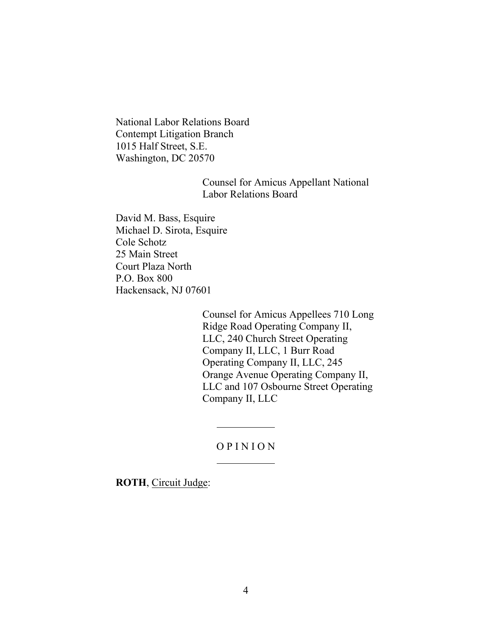National Labor Relations Board Contempt Litigation Branch 1015 Half Street, S.E. Washington, DC 20570

## Counsel for Amicus Appellant National Labor Relations Board

David M. Bass, Esquire Michael D. Sirota, Esquire Cole Schotz 25 Main Street Court Plaza North P.O. Box 800 Hackensack, NJ 07601

> Counsel for Amicus Appellees 710 Long Ridge Road Operating Company II, LLC, 240 Church Street Operating Company II, LLC, 1 Burr Road Operating Company II, LLC, 245 Orange Avenue Operating Company II, LLC and 107 Osbourne Street Operating Company II, LLC

## O P I N I O N

**ROTH**, Circuit Judge: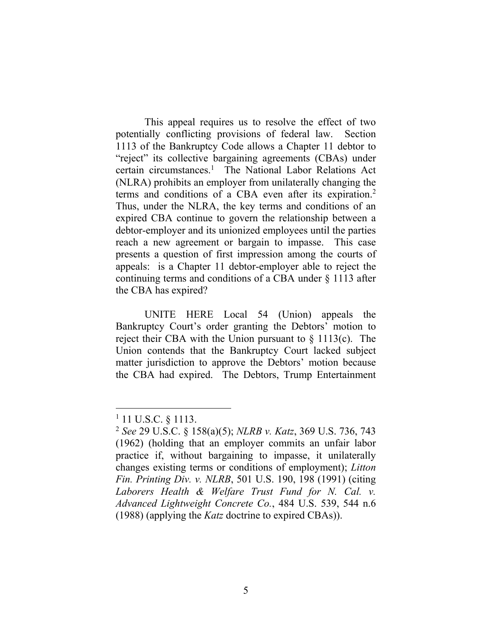This appeal requires us to resolve the effect of two potentially conflicting provisions of federal law. Section 1113 of the Bankruptcy Code allows a Chapter 11 debtor to "reject" its collective bargaining agreements (CBAs) under certain circumstances. 1 The National Labor Relations Act (NLRA) prohibits an employer from unilaterally changing the terms and conditions of a CBA even after its expiration.<sup>2</sup> Thus, under the NLRA, the key terms and conditions of an expired CBA continue to govern the relationship between a debtor-employer and its unionized employees until the parties reach a new agreement or bargain to impasse. This case presents a question of first impression among the courts of appeals: is a Chapter 11 debtor-employer able to reject the continuing terms and conditions of a CBA under § 1113 after the CBA has expired?

UNITE HERE Local 54 (Union) appeals the Bankruptcy Court's order granting the Debtors' motion to reject their CBA with the Union pursuant to  $\S$  1113(c). The Union contends that the Bankruptcy Court lacked subject matter jurisdiction to approve the Debtors' motion because the CBA had expired. The Debtors, Trump Entertainment

<sup>&</sup>lt;sup>1</sup> 11 U.S.C. § 1113.

<sup>2</sup> *See* 29 U.S.C. § 158(a)(5); *NLRB v. Katz*, 369 U.S. 736, 743 (1962) (holding that an employer commits an unfair labor practice if, without bargaining to impasse, it unilaterally changes existing terms or conditions of employment); *Litton Fin. Printing Div. v. NLRB*, 501 U.S. 190, 198 (1991) (citing Laborers Health & Welfare Trust Fund for N. Cal. v. *Advanced Lightweight Concrete Co.*, 484 U.S. 539, 544 n.6 (1988) (applying the *Katz* doctrine to expired CBAs)).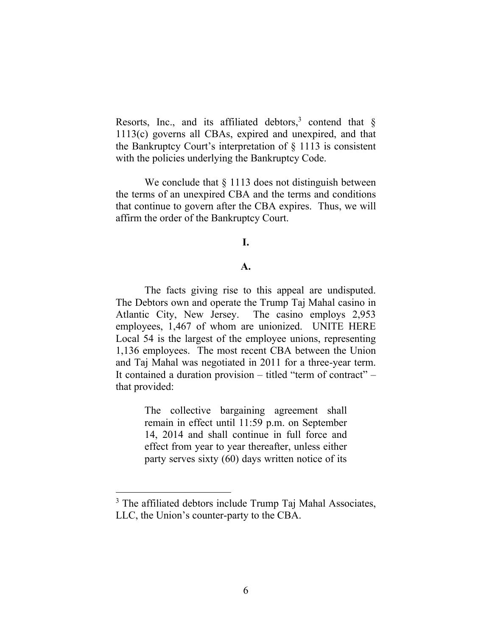Resorts, Inc., and its affiliated debtors,<sup>3</sup> contend that  $\S$ 1113(c) governs all CBAs, expired and unexpired, and that the Bankruptcy Court's interpretation of § 1113 is consistent with the policies underlying the Bankruptcy Code.

We conclude that  $\S 1113$  does not distinguish between the terms of an unexpired CBA and the terms and conditions that continue to govern after the CBA expires. Thus, we will affirm the order of the Bankruptcy Court.

### **I.**

### **A.**

The facts giving rise to this appeal are undisputed. The Debtors own and operate the Trump Taj Mahal casino in Atlantic City, New Jersey. The casino employs 2,953 employees, 1,467 of whom are unionized. UNITE HERE Local 54 is the largest of the employee unions, representing 1,136 employees. The most recent CBA between the Union and Taj Mahal was negotiated in 2011 for a three-year term. It contained a duration provision – titled "term of contract" – that provided:

> The collective bargaining agreement shall remain in effect until 11:59 p.m. on September 14, 2014 and shall continue in full force and effect from year to year thereafter, unless either party serves sixty (60) days written notice of its

<sup>&</sup>lt;sup>3</sup> The affiliated debtors include Trump Taj Mahal Associates, LLC, the Union's counter-party to the CBA.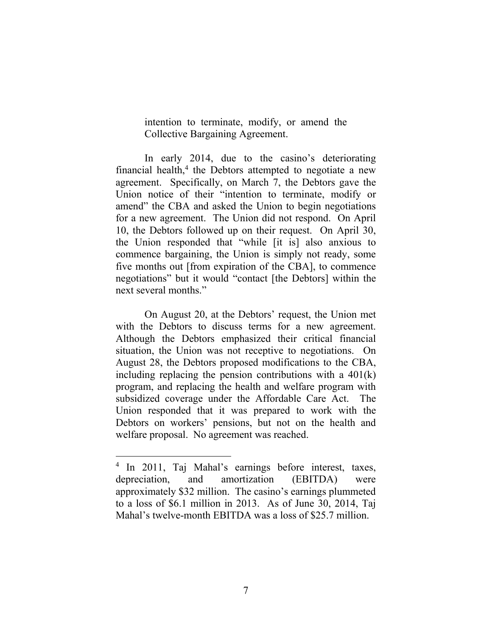intention to terminate, modify, or amend the Collective Bargaining Agreement.

In early 2014, due to the casino's deteriorating financial health, $4$  the Debtors attempted to negotiate a new agreement. Specifically, on March 7, the Debtors gave the Union notice of their "intention to terminate, modify or amend" the CBA and asked the Union to begin negotiations for a new agreement. The Union did not respond. On April 10, the Debtors followed up on their request. On April 30, the Union responded that "while [it is] also anxious to commence bargaining, the Union is simply not ready, some five months out [from expiration of the CBA], to commence negotiations" but it would "contact [the Debtors] within the next several months."

On August 20, at the Debtors' request, the Union met with the Debtors to discuss terms for a new agreement. Although the Debtors emphasized their critical financial situation, the Union was not receptive to negotiations. On August 28, the Debtors proposed modifications to the CBA, including replacing the pension contributions with a  $401(k)$ program, and replacing the health and welfare program with subsidized coverage under the Affordable Care Act. The Union responded that it was prepared to work with the Debtors on workers' pensions, but not on the health and welfare proposal. No agreement was reached.

<sup>4</sup> In 2011, Taj Mahal's earnings before interest, taxes, depreciation, and amortization (EBITDA) were approximately \$32 million. The casino's earnings plummeted to a loss of \$6.1 million in 2013. As of June 30, 2014, Taj Mahal's twelve-month EBITDA was a loss of \$25.7 million.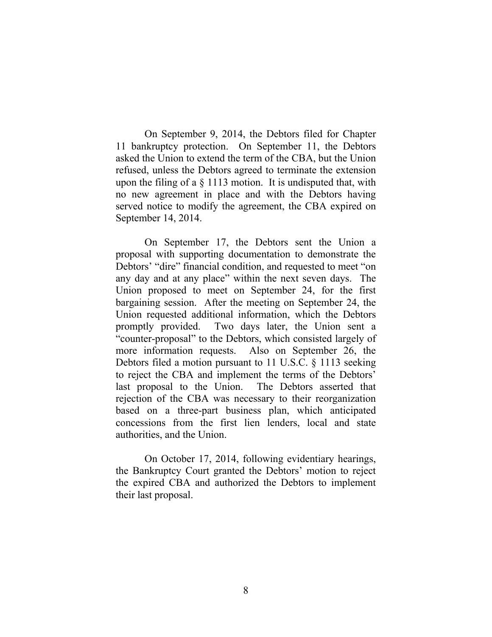On September 9, 2014, the Debtors filed for Chapter 11 bankruptcy protection. On September 11, the Debtors asked the Union to extend the term of the CBA, but the Union refused, unless the Debtors agreed to terminate the extension upon the filing of a  $\S$  1113 motion. It is undisputed that, with no new agreement in place and with the Debtors having served notice to modify the agreement, the CBA expired on September 14, 2014.

On September 17, the Debtors sent the Union a proposal with supporting documentation to demonstrate the Debtors' "dire" financial condition, and requested to meet "on any day and at any place" within the next seven days. The Union proposed to meet on September 24, for the first bargaining session. After the meeting on September 24, the Union requested additional information, which the Debtors promptly provided. Two days later, the Union sent a "counter-proposal" to the Debtors, which consisted largely of more information requests. Also on September 26, the Debtors filed a motion pursuant to 11 U.S.C. § 1113 seeking to reject the CBA and implement the terms of the Debtors' last proposal to the Union. The Debtors asserted that rejection of the CBA was necessary to their reorganization based on a three-part business plan, which anticipated concessions from the first lien lenders, local and state authorities, and the Union.

On October 17, 2014, following evidentiary hearings, the Bankruptcy Court granted the Debtors' motion to reject the expired CBA and authorized the Debtors to implement their last proposal.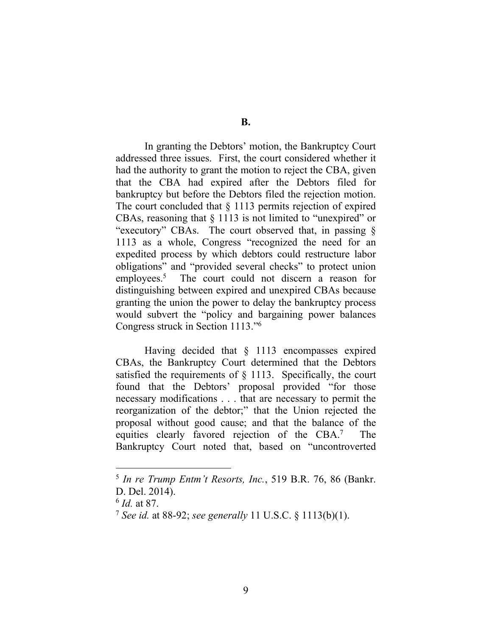**B.** 

In granting the Debtors' motion, the Bankruptcy Court addressed three issues. First, the court considered whether it had the authority to grant the motion to reject the CBA, given that the CBA had expired after the Debtors filed for bankruptcy but before the Debtors filed the rejection motion. The court concluded that § 1113 permits rejection of expired CBAs, reasoning that  $\S 1113$  is not limited to "unexpired" or "executory" CBAs. The court observed that, in passing § 1113 as a whole, Congress "recognized the need for an expedited process by which debtors could restructure labor obligations" and "provided several checks" to protect union employees. $5$  The court could not discern a reason for distinguishing between expired and unexpired CBAs because granting the union the power to delay the bankruptcy process would subvert the "policy and bargaining power balances Congress struck in Section 1113."<sup>6</sup>

Having decided that § 1113 encompasses expired CBAs, the Bankruptcy Court determined that the Debtors satisfied the requirements of § 1113. Specifically, the court found that the Debtors' proposal provided "for those necessary modifications . . . that are necessary to permit the reorganization of the debtor;" that the Union rejected the proposal without good cause; and that the balance of the equities clearly favored rejection of the CBA.<sup>7</sup> The Bankruptcy Court noted that, based on "uncontroverted

<sup>5</sup> *In re Trump Entm't Resorts, Inc.*, 519 B.R. 76, 86 (Bankr. D. Del. 2014).

<sup>6</sup> *Id.* at 87.

<sup>7</sup> *See id.* at 88-92; *see generally* 11 U.S.C. § 1113(b)(1).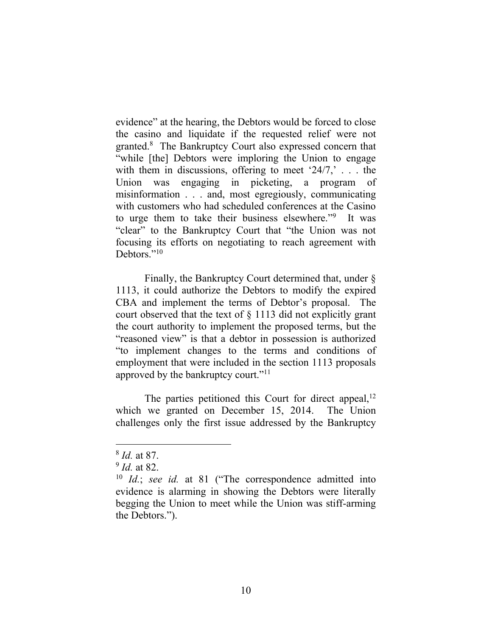evidence" at the hearing, the Debtors would be forced to close the casino and liquidate if the requested relief were not granted.<sup>8</sup> The Bankruptcy Court also expressed concern that "while [the] Debtors were imploring the Union to engage with them in discussions, offering to meet  $24/7$ ,  $\ldots$  the Union was engaging in picketing, a program of misinformation . . . and, most egregiously, communicating with customers who had scheduled conferences at the Casino to urge them to take their business elsewhere."<sup>9</sup> It was "clear" to the Bankruptcy Court that "the Union was not focusing its efforts on negotiating to reach agreement with Debtors<sup>"10</sup>

Finally, the Bankruptcy Court determined that, under § 1113, it could authorize the Debtors to modify the expired CBA and implement the terms of Debtor's proposal. The court observed that the text of § 1113 did not explicitly grant the court authority to implement the proposed terms, but the "reasoned view" is that a debtor in possession is authorized "to implement changes to the terms and conditions of employment that were included in the section 1113 proposals approved by the bankruptcy court."<sup>11</sup>

The parties petitioned this Court for direct appeal,  $12$ which we granted on December 15, 2014. The Union challenges only the first issue addressed by the Bankruptcy

<sup>8</sup> *Id.* at 87.

<sup>9</sup> *Id.* at 82.

<sup>10</sup> *Id.*; *see id.* at 81 ("The correspondence admitted into evidence is alarming in showing the Debtors were literally begging the Union to meet while the Union was stiff-arming the Debtors.").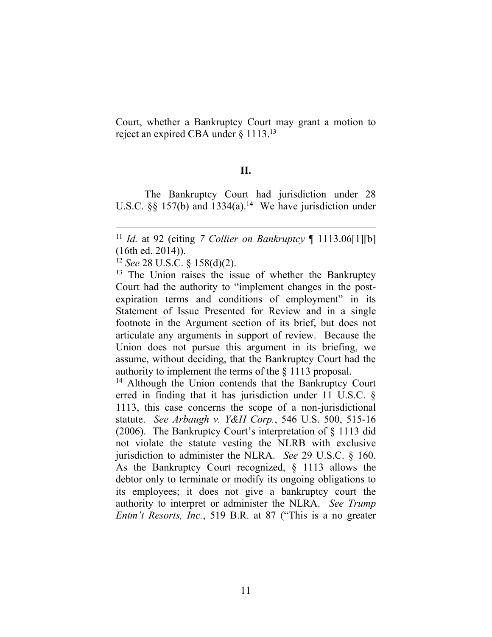Court, whether a Bankruptcy Court may grant a motion to reject an expired CBA under § 1113.<sup>13</sup>

#### **II.**

The Bankruptcy Court had jurisdiction under 28 U.S.C.  $\S$ § 157(b) and 1334(a).<sup>14</sup> We have jurisdiction under

<sup>14</sup> Although the Union contends that the Bankruptcy Court erred in finding that it has jurisdiction under 11 U.S.C. § 1113, this case concerns the scope of a non-jurisdictional statute. *See Arbaugh v. Y&H Corp.*, 546 U.S. 500, 515-16 (2006). The Bankruptcy Court's interpretation of § 1113 did not violate the statute vesting the NLRB with exclusive jurisdiction to administer the NLRA. *See* 29 U.S.C. § 160. As the Bankruptcy Court recognized, § 1113 allows the debtor only to terminate or modify its ongoing obligations to its employees; it does not give a bankruptcy court the authority to interpret or administer the NLRA. *See Trump Entm't Resorts, Inc.*, 519 B.R. at 87 ("This is a no greater

<sup>11</sup> *Id.* at 92 (citing *7 Collier on Bankruptcy* ¶ 1113.06[1][b] (16th ed. 2014)).

<sup>12</sup> *See* 28 U.S.C. § 158(d)(2).

 $13$  The Union raises the issue of whether the Bankruptcy Court had the authority to "implement changes in the postexpiration terms and conditions of employment" in its Statement of Issue Presented for Review and in a single footnote in the Argument section of its brief, but does not articulate any arguments in support of review. Because the Union does not pursue this argument in its briefing, we assume, without deciding, that the Bankruptcy Court had the authority to implement the terms of the § 1113 proposal.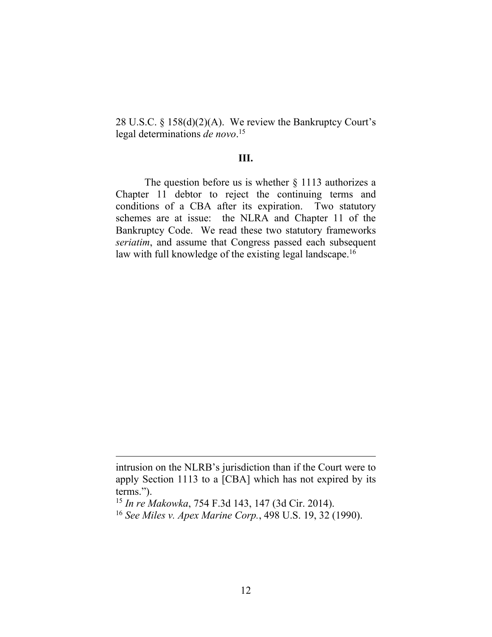28 U.S.C. § 158(d)(2)(A). We review the Bankruptcy Court's legal determinations *de novo*. 15

### **III.**

The question before us is whether  $\S$  1113 authorizes a Chapter 11 debtor to reject the continuing terms and conditions of a CBA after its expiration. Two statutory schemes are at issue: the NLRA and Chapter 11 of the Bankruptcy Code. We read these two statutory frameworks *seriatim*, and assume that Congress passed each subsequent law with full knowledge of the existing legal landscape.<sup>16</sup>

intrusion on the NLRB's jurisdiction than if the Court were to apply Section 1113 to a [CBA] which has not expired by its terms.").

<sup>15</sup> *In re Makowka*, 754 F.3d 143, 147 (3d Cir. 2014).

<sup>16</sup> *See Miles v. Apex Marine Corp.*, 498 U.S. 19, 32 (1990).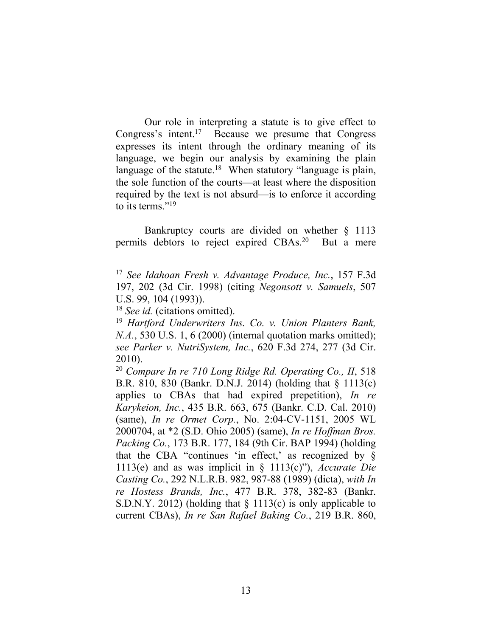Our role in interpreting a statute is to give effect to Congress's intent.<sup>17</sup> Because we presume that Congress expresses its intent through the ordinary meaning of its language, we begin our analysis by examining the plain language of the statute.<sup>18</sup> When statutory "language is plain, the sole function of the courts—at least where the disposition required by the text is not absurd—is to enforce it according to its terms."<sup>19</sup>

Bankruptcy courts are divided on whether § 1113 permits debtors to reject expired CBAs.<sup>20</sup> But a mere

<sup>17</sup> *See Idahoan Fresh v. Advantage Produce, Inc.*, 157 F.3d 197, 202 (3d Cir. 1998) (citing *Negonsott v. Samuels*, 507 U.S. 99, 104 (1993)).

<sup>18</sup> *See id.* (citations omitted).

<sup>19</sup> *Hartford Underwriters Ins. Co. v. Union Planters Bank, N.A.*, 530 U.S. 1, 6 (2000) (internal quotation marks omitted); *see Parker v. NutriSystem, Inc.*, 620 F.3d 274, 277 (3d Cir. 2010).

<sup>20</sup> *Compare In re 710 Long Ridge Rd. Operating Co., II*, 518 B.R. 810, 830 (Bankr. D.N.J. 2014) (holding that § 1113(c) applies to CBAs that had expired prepetition), *In re Karykeion, Inc.*, 435 B.R. 663, 675 (Bankr. C.D. Cal. 2010) (same), *In re Ormet Corp.*, No. 2:04-CV-1151, 2005 WL 2000704, at \*2 (S.D. Ohio 2005) (same), *In re Hoffman Bros. Packing Co.*, 173 B.R. 177, 184 (9th Cir. BAP 1994) (holding that the CBA "continues 'in effect,' as recognized by  $\S$ 1113(e) and as was implicit in § 1113(c)"), *Accurate Die Casting Co.*, 292 N.L.R.B. 982, 987-88 (1989) (dicta), *with In re Hostess Brands, Inc.*, 477 B.R. 378, 382-83 (Bankr. S.D.N.Y. 2012) (holding that § 1113(c) is only applicable to current CBAs), *In re San Rafael Baking Co.*, 219 B.R. 860,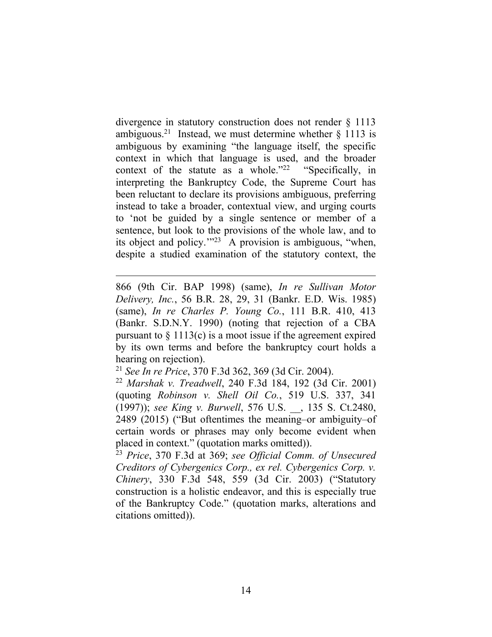divergence in statutory construction does not render § 1113 ambiguous.<sup>21</sup> Instead, we must determine whether  $\S$  1113 is ambiguous by examining "the language itself, the specific context in which that language is used, and the broader context of the statute as a whole." $22$  "Specifically, in interpreting the Bankruptcy Code, the Supreme Court has been reluctant to declare its provisions ambiguous, preferring instead to take a broader, contextual view, and urging courts to 'not be guided by a single sentence or member of a sentence, but look to the provisions of the whole law, and to its object and policy.'" 23 A provision is ambiguous, "when, despite a studied examination of the statutory context, the

866 (9th Cir. BAP 1998) (same), *In re Sullivan Motor Delivery, Inc.*, 56 B.R. 28, 29, 31 (Bankr. E.D. Wis. 1985) (same), *In re Charles P. Young Co.*, 111 B.R. 410, 413 (Bankr. S.D.N.Y. 1990) (noting that rejection of a CBA pursuant to  $\S 1113(c)$  is a moot issue if the agreement expired by its own terms and before the bankruptcy court holds a hearing on rejection).

<sup>21</sup> *See In re Price*, 370 F.3d 362, 369 (3d Cir. 2004).

 $\overline{a}$ 

<sup>22</sup> *Marshak v. Treadwell*, 240 F.3d 184, 192 (3d Cir. 2001) (quoting *Robinson v. Shell Oil Co.*, 519 U.S. 337, 341 (1997)); *see King v. Burwell*, 576 U.S. \_\_, 135 S. Ct.2480, 2489 (2015) ("But oftentimes the meaning–or ambiguity–of certain words or phrases may only become evident when placed in context." (quotation marks omitted)).

<sup>23</sup> *Price*, 370 F.3d at 369; *see Official Comm. of Unsecured Creditors of Cybergenics Corp., ex rel. Cybergenics Corp. v. Chinery*, 330 F.3d 548, 559 (3d Cir. 2003) ("Statutory construction is a holistic endeavor, and this is especially true of the Bankruptcy Code." (quotation marks, alterations and citations omitted)).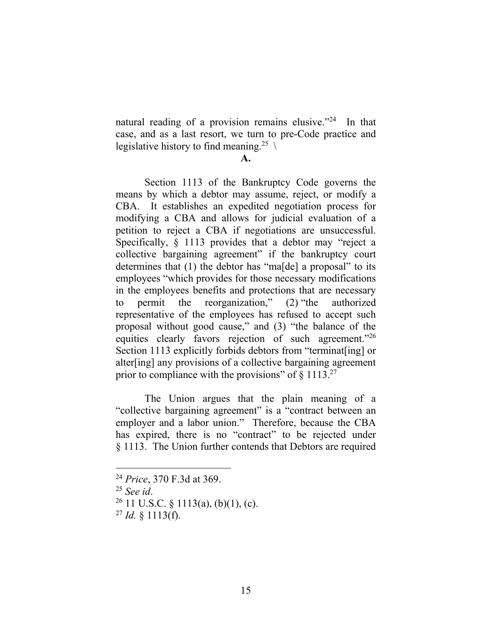natural reading of a provision remains elusive."<sup>24</sup> In that case, and as a last resort, we turn to pre-Code practice and legislative history to find meaning.<sup>25</sup>  $\setminus$ 

**A.**

Section 1113 of the Bankruptcy Code governs the means by which a debtor may assume, reject, or modify a CBA. It establishes an expedited negotiation process for modifying a CBA and allows for judicial evaluation of a petition to reject a CBA if negotiations are unsuccessful. Specifically, § 1113 provides that a debtor may "reject a collective bargaining agreement" if the bankruptcy court determines that (1) the debtor has "ma[de] a proposal" to its employees "which provides for those necessary modifications in the employees benefits and protections that are necessary to permit the reorganization," (2) "the authorized representative of the employees has refused to accept such proposal without good cause," and (3) "the balance of the equities clearly favors rejection of such agreement."26 Section 1113 explicitly forbids debtors from "terminat [ing] or alter[ing] any provisions of a collective bargaining agreement prior to compliance with the provisions" of  $\S 1113.^{27}$ 

The Union argues that the plain meaning of a "collective bargaining agreement" is a "contract between an employer and a labor union." Therefore, because the CBA has expired, there is no "contract" to be rejected under § 1113. The Union further contends that Debtors are required

<sup>24</sup> *Price*, 370 F.3d at 369.

<sup>25</sup> *See id*.

<sup>&</sup>lt;sup>26</sup> 11 U.S.C. § 1113(a), (b)(1), (c).

 $^{27}$  *Id.* § 1113(f).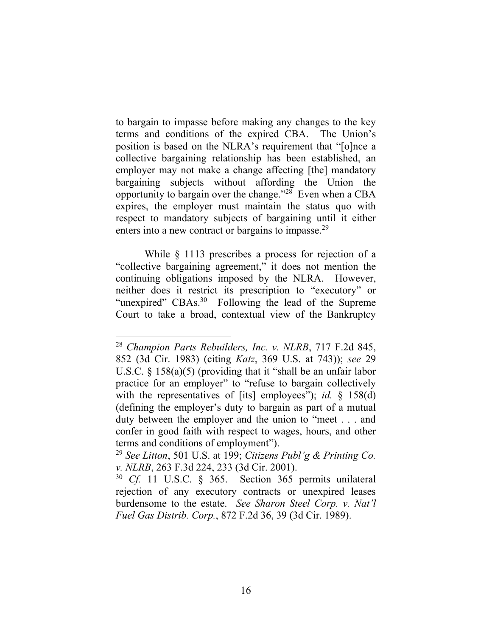to bargain to impasse before making any changes to the key terms and conditions of the expired CBA. The Union's position is based on the NLRA's requirement that "[o]nce a collective bargaining relationship has been established, an employer may not make a change affecting [the] mandatory bargaining subjects without affording the Union the opportunity to bargain over the change." <sup>28</sup> Even when a CBA expires, the employer must maintain the status quo with respect to mandatory subjects of bargaining until it either enters into a new contract or bargains to impasse.<sup>29</sup>

While § 1113 prescribes a process for rejection of a "collective bargaining agreement," it does not mention the continuing obligations imposed by the NLRA. However, neither does it restrict its prescription to "executory" or "unexpired" CBAs.<sup>30</sup> Following the lead of the Supreme Court to take a broad, contextual view of the Bankruptcy

<sup>28</sup> *Champion Parts Rebuilders, Inc. v. NLRB*, 717 F.2d 845, 852 (3d Cir. 1983) (citing *Katz*, 369 U.S. at 743)); *see* 29 U.S.C. § 158(a)(5) (providing that it "shall be an unfair labor practice for an employer" to "refuse to bargain collectively with the representatives of [its] employees"); *id.* § 158(d) (defining the employer's duty to bargain as part of a mutual duty between the employer and the union to "meet . . . and confer in good faith with respect to wages, hours, and other terms and conditions of employment").

<sup>29</sup> *See Litton*, 501 U.S. at 199; *Citizens Publ'g & Printing Co. v. NLRB*, 263 F.3d 224, 233 (3d Cir. 2001).

<sup>30</sup> *Cf.* 11 U.S.C. § 365. Section 365 permits unilateral rejection of any executory contracts or unexpired leases burdensome to the estate. *See Sharon Steel Corp. v. Nat'l Fuel Gas Distrib. Corp.*, 872 F.2d 36, 39 (3d Cir. 1989).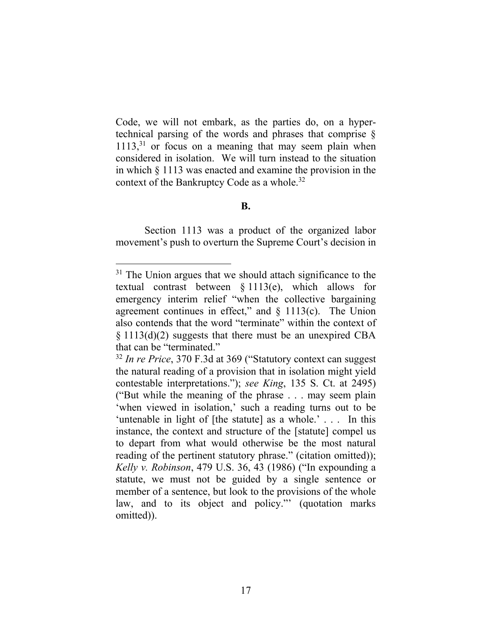Code, we will not embark, as the parties do, on a hypertechnical parsing of the words and phrases that comprise § 1113, <sup>31</sup> or focus on a meaning that may seem plain when considered in isolation. We will turn instead to the situation in which § 1113 was enacted and examine the provision in the context of the Bankruptcy Code as a whole.<sup>32</sup>

### **B.**

Section 1113 was a product of the organized labor movement's push to overturn the Supreme Court's decision in

<sup>&</sup>lt;sup>31</sup> The Union argues that we should attach significance to the textual contrast between § 1113(e), which allows for emergency interim relief "when the collective bargaining agreement continues in effect," and  $\S$  1113(c). The Union also contends that the word "terminate" within the context of  $\S 1113(d)(2)$  suggests that there must be an unexpired CBA that can be "terminated."

<sup>32</sup> *In re Price*, 370 F.3d at 369 ("Statutory context can suggest the natural reading of a provision that in isolation might yield contestable interpretations."); *see King*, 135 S. Ct. at 2495) ("But while the meaning of the phrase . . . may seem plain 'when viewed in isolation,' such a reading turns out to be 'untenable in light of [the statute] as a whole.' . . . In this instance, the context and structure of the [statute] compel us to depart from what would otherwise be the most natural reading of the pertinent statutory phrase." (citation omitted)); *Kelly v. Robinson*, 479 U.S. 36, 43 (1986) ("In expounding a statute, we must not be guided by a single sentence or member of a sentence, but look to the provisions of the whole law, and to its object and policy."' (quotation marks omitted)).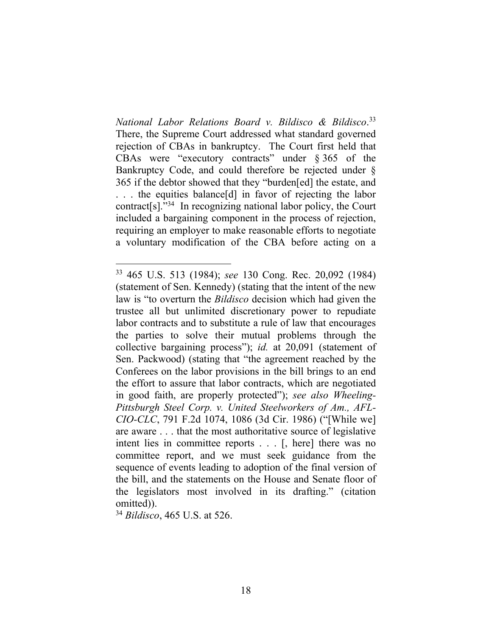*National Labor Relations Board v. Bildisco & Bildisco*. 33 There, the Supreme Court addressed what standard governed rejection of CBAs in bankruptcy. The Court first held that CBAs were "executory contracts" under § 365 of the Bankruptcy Code, and could therefore be rejected under § 365 if the debtor showed that they "burden[ed] the estate, and ... the equities balance[d] in favor of rejecting the labor contract[s]."<sup>34</sup> In recognizing national labor policy, the Court included a bargaining component in the process of rejection, requiring an employer to make reasonable efforts to negotiate a voluntary modification of the CBA before acting on a

<sup>34</sup> *Bildisco*, 465 U.S. at 526.

<sup>33</sup> 465 U.S. 513 (1984); *see* 130 Cong. Rec. 20,092 (1984) (statement of Sen. Kennedy) (stating that the intent of the new law is "to overturn the *Bildisco* decision which had given the trustee all but unlimited discretionary power to repudiate labor contracts and to substitute a rule of law that encourages the parties to solve their mutual problems through the collective bargaining process"); *id.* at 20,091 (statement of Sen. Packwood) (stating that "the agreement reached by the Conferees on the labor provisions in the bill brings to an end the effort to assure that labor contracts, which are negotiated in good faith, are properly protected"); *see also Wheeling-Pittsburgh Steel Corp. v. United Steelworkers of Am., AFL-CIO-CLC*, 791 F.2d 1074, 1086 (3d Cir. 1986) ("[While we] are aware . . . that the most authoritative source of legislative intent lies in committee reports . . . [, here] there was no committee report, and we must seek guidance from the sequence of events leading to adoption of the final version of the bill, and the statements on the House and Senate floor of the legislators most involved in its drafting." (citation omitted)).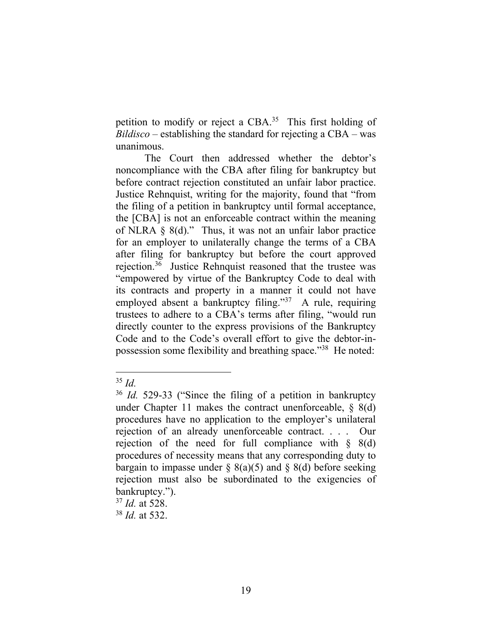petition to modify or reject a CBA.<sup>35</sup> This first holding of *Bildisco* – establishing the standard for rejecting a CBA – was unanimous.

The Court then addressed whether the debtor's noncompliance with the CBA after filing for bankruptcy but before contract rejection constituted an unfair labor practice. Justice Rehnquist, writing for the majority, found that "from the filing of a petition in bankruptcy until formal acceptance, the [CBA] is not an enforceable contract within the meaning of NLRA  $\S$  8(d)." Thus, it was not an unfair labor practice for an employer to unilaterally change the terms of a CBA after filing for bankruptcy but before the court approved rejection. 36 Justice Rehnquist reasoned that the trustee was "empowered by virtue of the Bankruptcy Code to deal with its contracts and property in a manner it could not have employed absent a bankruptcy filing."<sup>37</sup> A rule, requiring trustees to adhere to a CBA's terms after filing, "would run directly counter to the express provisions of the Bankruptcy Code and to the Code's overall effort to give the debtor-inpossession some flexibility and breathing space."<sup>38</sup> He noted:

<sup>35</sup> *Id.*

<sup>36</sup> *Id.* 529-33 ("Since the filing of a petition in bankruptcy under Chapter 11 makes the contract unenforceable, § 8(d) procedures have no application to the employer's unilateral rejection of an already unenforceable contract. . . . Our rejection of the need for full compliance with  $\S$  8(d) procedures of necessity means that any corresponding duty to bargain to impasse under  $\S$  8(a)(5) and  $\S$  8(d) before seeking rejection must also be subordinated to the exigencies of bankruptcy.").

<sup>37</sup> *Id.* at 528.

<sup>38</sup> *Id.* at 532.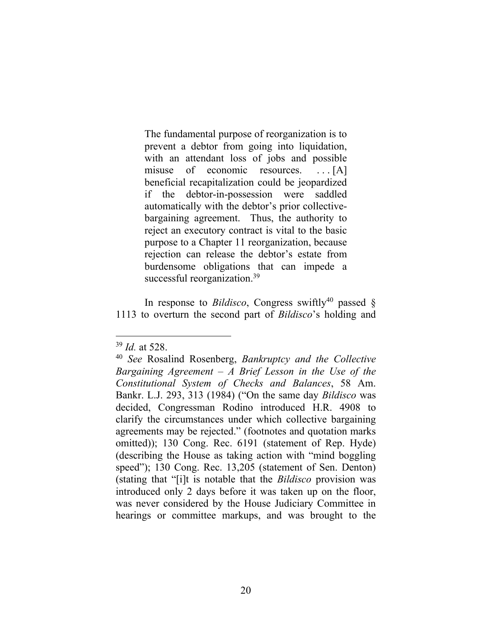The fundamental purpose of reorganization is to prevent a debtor from going into liquidation, with an attendant loss of jobs and possible misuse of economic resources. . . . [A] beneficial recapitalization could be jeopardized if the debtor-in-possession were saddled automatically with the debtor's prior collectivebargaining agreement. Thus, the authority to reject an executory contract is vital to the basic purpose to a Chapter 11 reorganization, because rejection can release the debtor's estate from burdensome obligations that can impede a successful reorganization.<sup>39</sup>

In response to *Bildisco*, Congress swiftly<sup>40</sup> passed  $\S$ 1113 to overturn the second part of *Bildisco*'s holding and

<sup>39</sup> *Id.* at 528.

<sup>40</sup> *See* Rosalind Rosenberg, *Bankruptcy and the Collective Bargaining Agreement – A Brief Lesson in the Use of the Constitutional System of Checks and Balances*, 58 Am. Bankr. L.J. 293, 313 (1984) ("On the same day *Bildisco* was decided, Congressman Rodino introduced H.R. 4908 to clarify the circumstances under which collective bargaining agreements may be rejected." (footnotes and quotation marks omitted)); 130 Cong. Rec. 6191 (statement of Rep. Hyde) (describing the House as taking action with "mind boggling speed"); 130 Cong. Rec. 13,205 (statement of Sen. Denton) (stating that "[i]t is notable that the *Bildisco* provision was introduced only 2 days before it was taken up on the floor, was never considered by the House Judiciary Committee in hearings or committee markups, and was brought to the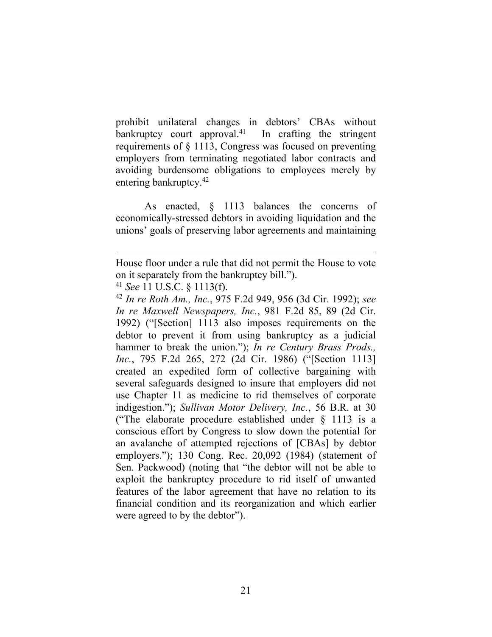prohibit unilateral changes in debtors' CBAs without bankruptcy court approval.<sup>41</sup> In crafting the stringent requirements of § 1113, Congress was focused on preventing employers from terminating negotiated labor contracts and avoiding burdensome obligations to employees merely by entering bankruptcy.<sup>42</sup>

As enacted, § 1113 balances the concerns of economically-stressed debtors in avoiding liquidation and the unions' goals of preserving labor agreements and maintaining

<sup>41</sup> *See* 11 U.S.C. § 1113(f).

<sup>42</sup> *In re Roth Am., Inc.*, 975 F.2d 949, 956 (3d Cir. 1992); *see In re Maxwell Newspapers, Inc.*, 981 F.2d 85, 89 (2d Cir. 1992) ("[Section] 1113 also imposes requirements on the debtor to prevent it from using bankruptcy as a judicial hammer to break the union."); *In re Century Brass Prods., Inc.*, 795 F.2d 265, 272 (2d Cir. 1986) ("[Section 1113] created an expedited form of collective bargaining with several safeguards designed to insure that employers did not use Chapter 11 as medicine to rid themselves of corporate indigestion."); *Sullivan Motor Delivery, Inc.*, 56 B.R. at 30 ("The elaborate procedure established under § 1113 is a conscious effort by Congress to slow down the potential for an avalanche of attempted rejections of [CBAs] by debtor employers."); 130 Cong. Rec. 20,092 (1984) (statement of Sen. Packwood) (noting that "the debtor will not be able to exploit the bankruptcy procedure to rid itself of unwanted features of the labor agreement that have no relation to its financial condition and its reorganization and which earlier were agreed to by the debtor").

House floor under a rule that did not permit the House to vote on it separately from the bankruptcy bill.").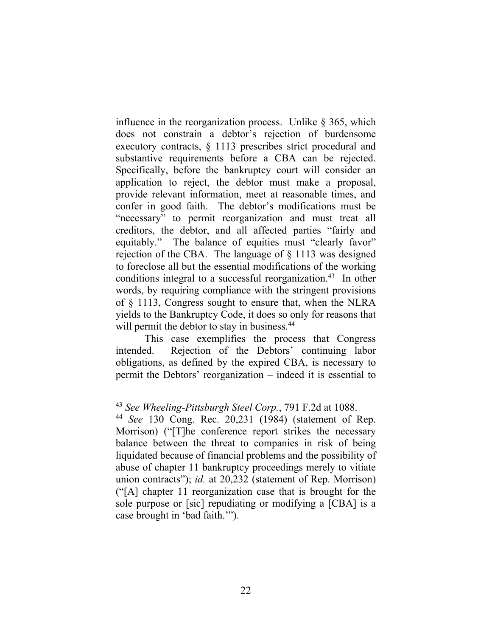influence in the reorganization process. Unlike § 365, which does not constrain a debtor's rejection of burdensome executory contracts, § 1113 prescribes strict procedural and substantive requirements before a CBA can be rejected. Specifically, before the bankruptcy court will consider an application to reject, the debtor must make a proposal, provide relevant information, meet at reasonable times, and confer in good faith. The debtor's modifications must be "necessary" to permit reorganization and must treat all creditors, the debtor, and all affected parties "fairly and equitably." The balance of equities must "clearly favor" rejection of the CBA. The language of § 1113 was designed to foreclose all but the essential modifications of the working conditions integral to a successful reorganization.<sup>43</sup> In other words, by requiring compliance with the stringent provisions of § 1113, Congress sought to ensure that, when the NLRA yields to the Bankruptcy Code, it does so only for reasons that will permit the debtor to stay in business.<sup>44</sup>

This case exemplifies the process that Congress intended. Rejection of the Debtors' continuing labor obligations, as defined by the expired CBA, is necessary to permit the Debtors' reorganization – indeed it is essential to

<sup>43</sup> *See Wheeling-Pittsburgh Steel Corp.*, 791 F.2d at 1088.

<sup>44</sup> *See* 130 Cong. Rec. 20,231 (1984) (statement of Rep. Morrison) ("[T]he conference report strikes the necessary balance between the threat to companies in risk of being liquidated because of financial problems and the possibility of abuse of chapter 11 bankruptcy proceedings merely to vitiate union contracts"); *id.* at 20,232 (statement of Rep. Morrison) ("[A] chapter 11 reorganization case that is brought for the sole purpose or [sic] repudiating or modifying a [CBA] is a case brought in 'bad faith.'").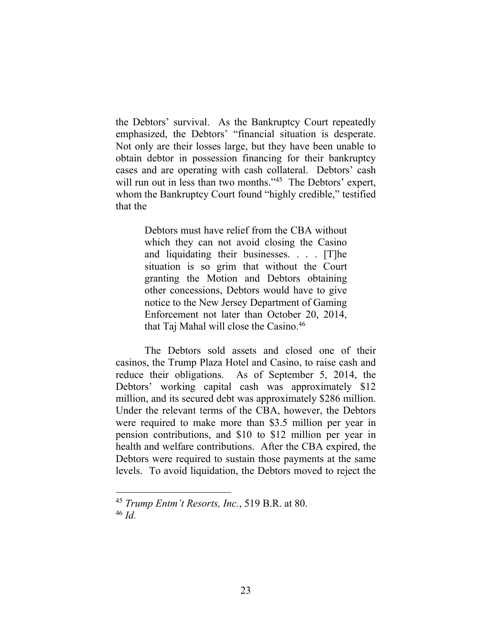the Debtors' survival. As the Bankruptcy Court repeatedly emphasized, the Debtors' "financial situation is desperate. Not only are their losses large, but they have been unable to obtain debtor in possession financing for their bankruptcy cases and are operating with cash collateral. Debtors' cash will run out in less than two months."<sup>45</sup> The Debtors' expert, whom the Bankruptcy Court found "highly credible," testified that the

> Debtors must have relief from the CBA without which they can not avoid closing the Casino and liquidating their businesses. . . . [T]he situation is so grim that without the Court granting the Motion and Debtors obtaining other concessions, Debtors would have to give notice to the New Jersey Department of Gaming Enforcement not later than October 20, 2014, that Taj Mahal will close the Casino.<sup>46</sup>

The Debtors sold assets and closed one of their casinos, the Trump Plaza Hotel and Casino, to raise cash and reduce their obligations. As of September 5, 2014, the Debtors' working capital cash was approximately \$12 million, and its secured debt was approximately \$286 million. Under the relevant terms of the CBA, however, the Debtors were required to make more than \$3.5 million per year in pension contributions, and \$10 to \$12 million per year in health and welfare contributions. After the CBA expired, the Debtors were required to sustain those payments at the same levels. To avoid liquidation, the Debtors moved to reject the

<sup>45</sup> *Trump Entm't Resorts, Inc.*, 519 B.R. at 80. <sup>46</sup> *Id.*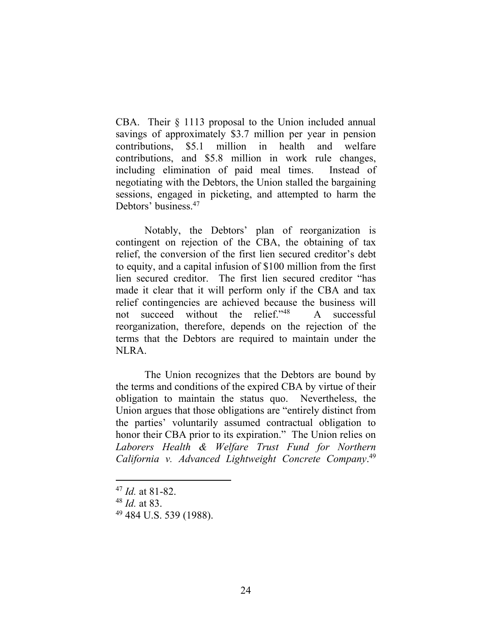CBA. Their § 1113 proposal to the Union included annual savings of approximately \$3.7 million per year in pension contributions, \$5.1 million in health and welfare contributions, and \$5.8 million in work rule changes, including elimination of paid meal times. Instead of negotiating with the Debtors, the Union stalled the bargaining sessions, engaged in picketing, and attempted to harm the Debtors' business.<sup>47</sup>

Notably, the Debtors' plan of reorganization is contingent on rejection of the CBA, the obtaining of tax relief, the conversion of the first lien secured creditor's debt to equity, and a capital infusion of \$100 million from the first lien secured creditor. The first lien secured creditor "has made it clear that it will perform only if the CBA and tax relief contingencies are achieved because the business will not succeed without the relief."<sup>48</sup> A successful reorganization, therefore, depends on the rejection of the terms that the Debtors are required to maintain under the NLRA.

The Union recognizes that the Debtors are bound by the terms and conditions of the expired CBA by virtue of their obligation to maintain the status quo. Nevertheless, the Union argues that those obligations are "entirely distinct from the parties' voluntarily assumed contractual obligation to honor their CBA prior to its expiration." The Union relies on *Laborers Health & Welfare Trust Fund for Northern California v. Advanced Lightweight Concrete Company*. 49

<sup>47</sup> *Id.* at 81-82.

<sup>48</sup> *Id.* at 83.

<sup>49</sup> 484 U.S. 539 (1988).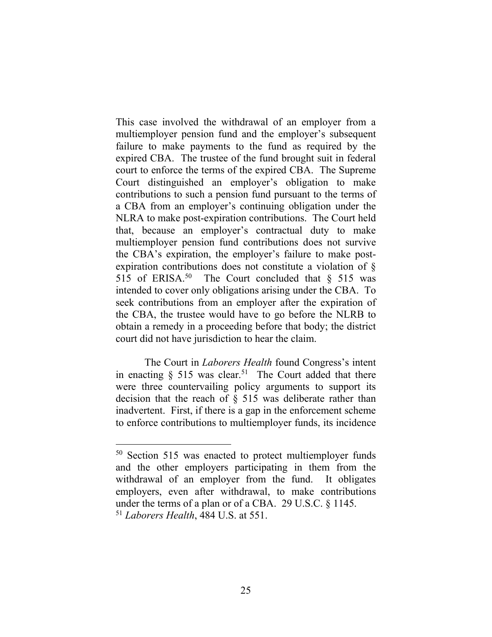This case involved the withdrawal of an employer from a multiemployer pension fund and the employer's subsequent failure to make payments to the fund as required by the expired CBA. The trustee of the fund brought suit in federal court to enforce the terms of the expired CBA. The Supreme Court distinguished an employer's obligation to make contributions to such a pension fund pursuant to the terms of a CBA from an employer's continuing obligation under the NLRA to make post-expiration contributions. The Court held that, because an employer's contractual duty to make multiemployer pension fund contributions does not survive the CBA's expiration, the employer's failure to make postexpiration contributions does not constitute a violation of § 515 of ERISA.<sup>50</sup> The Court concluded that  $\S$  515 was intended to cover only obligations arising under the CBA. To seek contributions from an employer after the expiration of the CBA, the trustee would have to go before the NLRB to obtain a remedy in a proceeding before that body; the district court did not have jurisdiction to hear the claim.

The Court in *Laborers Health* found Congress's intent in enacting  $\S$  515 was clear.<sup>51</sup> The Court added that there were three countervailing policy arguments to support its decision that the reach of § 515 was deliberate rather than inadvertent. First, if there is a gap in the enforcement scheme to enforce contributions to multiemployer funds, its incidence

<sup>50</sup> Section 515 was enacted to protect multiemployer funds and the other employers participating in them from the withdrawal of an employer from the fund. It obligates employers, even after withdrawal, to make contributions under the terms of a plan or of a CBA. 29 U.S.C. § 1145. <sup>51</sup> *Laborers Health*, 484 U.S. at 551.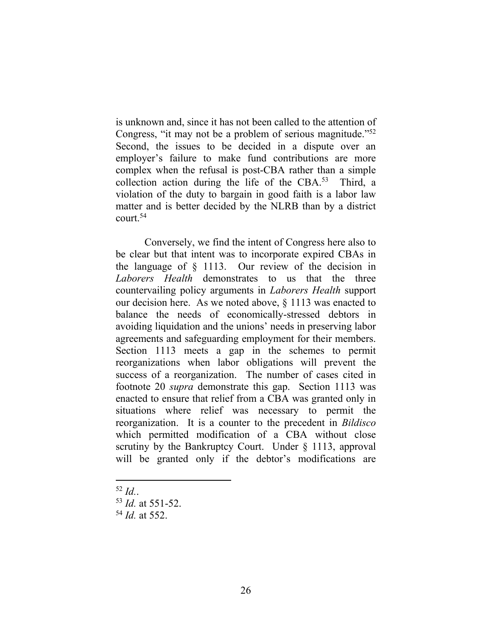is unknown and, since it has not been called to the attention of Congress, "it may not be a problem of serious magnitude."<sup>52</sup> Second, the issues to be decided in a dispute over an employer's failure to make fund contributions are more complex when the refusal is post-CBA rather than a simple collection action during the life of the CBA. $53$  Third, a violation of the duty to bargain in good faith is a labor law matter and is better decided by the NLRB than by a district court  $54$ 

Conversely, we find the intent of Congress here also to be clear but that intent was to incorporate expired CBAs in the language of § 1113. Our review of the decision in *Laborers Health* demonstrates to us that the three countervailing policy arguments in *Laborers Health* support our decision here. As we noted above, § 1113 was enacted to balance the needs of economically-stressed debtors in avoiding liquidation and the unions' needs in preserving labor agreements and safeguarding employment for their members. Section 1113 meets a gap in the schemes to permit reorganizations when labor obligations will prevent the success of a reorganization. The number of cases cited in footnote 20 *supra* demonstrate this gap. Section 1113 was enacted to ensure that relief from a CBA was granted only in situations where relief was necessary to permit the reorganization. It is a counter to the precedent in *Bildisco* which permitted modification of a CBA without close scrutiny by the Bankruptcy Court. Under § 1113, approval will be granted only if the debtor's modifications are

<sup>52</sup> *Id.*.

- <sup>53</sup> *Id.* at 551-52.
- <sup>54</sup> *Id.* at 552.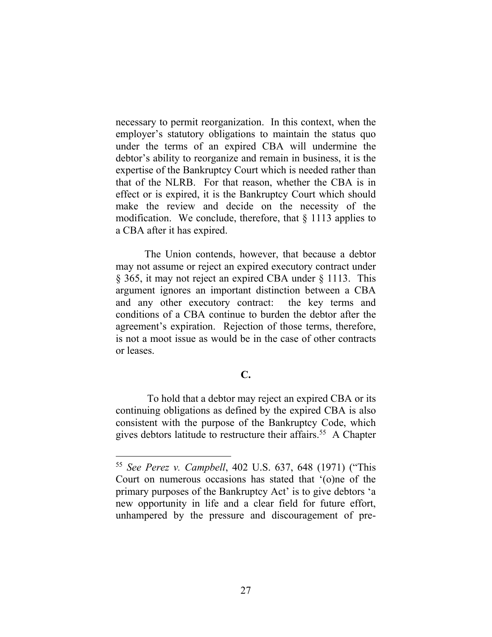necessary to permit reorganization. In this context, when the employer's statutory obligations to maintain the status quo under the terms of an expired CBA will undermine the debtor's ability to reorganize and remain in business, it is the expertise of the Bankruptcy Court which is needed rather than that of the NLRB. For that reason, whether the CBA is in effect or is expired, it is the Bankruptcy Court which should make the review and decide on the necessity of the modification. We conclude, therefore, that  $\S$  1113 applies to a CBA after it has expired.

The Union contends, however, that because a debtor may not assume or reject an expired executory contract under § 365, it may not reject an expired CBA under § 1113. This argument ignores an important distinction between a CBA and any other executory contract: the key terms and conditions of a CBA continue to burden the debtor after the agreement's expiration. Rejection of those terms, therefore, is not a moot issue as would be in the case of other contracts or leases.

# **C.**

To hold that a debtor may reject an expired CBA or its continuing obligations as defined by the expired CBA is also consistent with the purpose of the Bankruptcy Code, which gives debtors latitude to restructure their affairs.<sup>55</sup> A Chapter

<sup>55</sup> *See Perez v. Campbell*, 402 U.S. 637, 648 (1971) ("This Court on numerous occasions has stated that '(o)ne of the primary purposes of the Bankruptcy Act' is to give debtors 'a new opportunity in life and a clear field for future effort, unhampered by the pressure and discouragement of pre-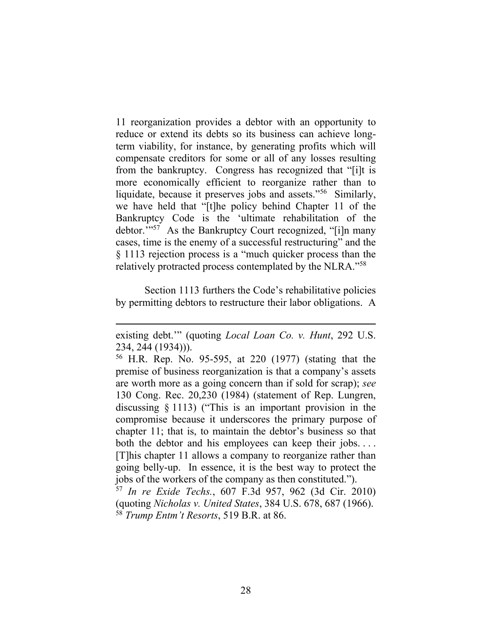11 reorganization provides a debtor with an opportunity to reduce or extend its debts so its business can achieve longterm viability, for instance, by generating profits which will compensate creditors for some or all of any losses resulting from the bankruptcy. Congress has recognized that "[i]t is more economically efficient to reorganize rather than to liquidate, because it preserves jobs and assets."<sup>56</sup> Similarly, we have held that "[t]he policy behind Chapter 11 of the Bankruptcy Code is the 'ultimate rehabilitation of the debtor.'" 57 As the Bankruptcy Court recognized, "[i]n many cases, time is the enemy of a successful restructuring" and the § 1113 rejection process is a "much quicker process than the relatively protracted process contemplated by the NLRA."<sup>58</sup>

Section 1113 furthers the Code's rehabilitative policies by permitting debtors to restructure their labor obligations. A

(quoting *Nicholas v. United States*, 384 U.S. 678, 687 (1966). <sup>58</sup> *Trump Entm't Resorts*, 519 B.R. at 86.

existing debt.'" (quoting *Local Loan Co. v. Hunt*, 292 U.S. 234, 244 (1934))).

<sup>56</sup> H.R. Rep. No. 95-595, at 220 (1977) (stating that the premise of business reorganization is that a company's assets are worth more as a going concern than if sold for scrap); *see*  130 Cong. Rec. 20,230 (1984) (statement of Rep. Lungren, discussing § 1113) ("This is an important provision in the compromise because it underscores the primary purpose of chapter 11; that is, to maintain the debtor's business so that both the debtor and his employees can keep their jobs.... [T]his chapter 11 allows a company to reorganize rather than going belly-up. In essence, it is the best way to protect the jobs of the workers of the company as then constituted."). <sup>57</sup> *In re Exide Techs.*, 607 F.3d 957, 962 (3d Cir. 2010)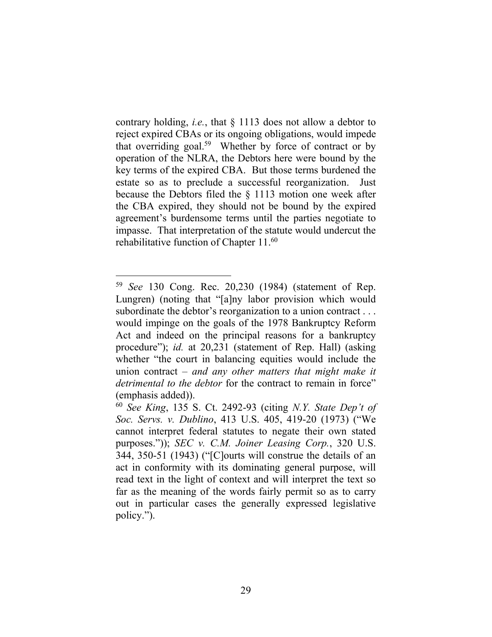contrary holding, *i.e.*, that § 1113 does not allow a debtor to reject expired CBAs or its ongoing obligations, would impede that overriding goal.<sup>59</sup> Whether by force of contract or by operation of the NLRA, the Debtors here were bound by the key terms of the expired CBA. But those terms burdened the estate so as to preclude a successful reorganization. Just because the Debtors filed the § 1113 motion one week after the CBA expired, they should not be bound by the expired agreement's burdensome terms until the parties negotiate to impasse. That interpretation of the statute would undercut the rehabilitative function of Chapter 11.<sup>60</sup>

<sup>59</sup> *See* 130 Cong. Rec. 20,230 (1984) (statement of Rep. Lungren) (noting that "[a]ny labor provision which would subordinate the debtor's reorganization to a union contract . . . would impinge on the goals of the 1978 Bankruptcy Reform Act and indeed on the principal reasons for a bankruptcy procedure"); *id.* at 20,231 (statement of Rep. Hall) (asking whether "the court in balancing equities would include the union contract – *and any other matters that might make it detrimental to the debtor* for the contract to remain in force" (emphasis added)).

<sup>60</sup> *See King*, 135 S. Ct. 2492-93 (citing *N.Y. State Dep't of Soc. Servs. v. Dublino*, 413 U.S. 405, 419-20 (1973) ("We cannot interpret federal statutes to negate their own stated purposes.")); *SEC v. C.M. Joiner Leasing Corp.*, 320 U.S. 344, 350-51 (1943) ("[C]ourts will construe the details of an act in conformity with its dominating general purpose, will read text in the light of context and will interpret the text so far as the meaning of the words fairly permit so as to carry out in particular cases the generally expressed legislative policy.").